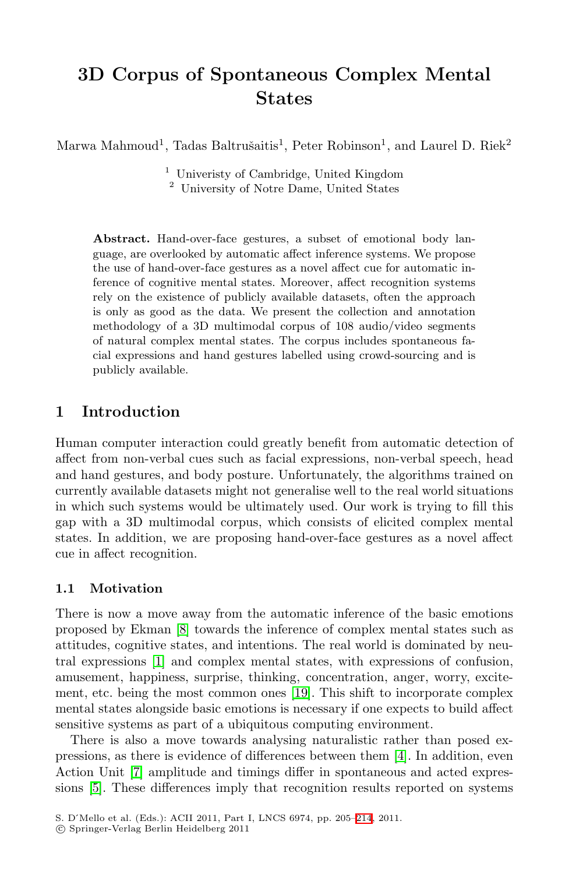# **3D Corpus of Spontaneous Complex Mental States**

Marwa Mahmoud<sup>1</sup>, Tadas Baltrušaitis<sup>1</sup>, Peter Robinson<sup>1</sup>, and Laurel D. Riek<sup>2</sup>

<sup>1</sup> Univeristy of Cambridge, United Kingdom

<sup>2</sup> University of Notre Dame, United States

**Abstract.** Hand-over-face gestures, a subset of emotional body language, are overlooked by automatic affect inference systems. We propose the use of hand-over-face gestures as a novel affect cue for automatic inference of cognitive mental states. Moreover, affect recognition systems rely on the existence of publicly available datasets, often the approach is only as good as the data. We present the collection and annotation methodology of a 3D multimodal corpus of 108 audio/video segments of natural complex mental states. The corpus includes spontaneous facial expressions and hand gestures labelled using crowd-sourcing and is publicly available.

## **1 Introduction**

Human computer interaction could greatly benefit from automatic detection of affect from non-verbal cues such as facial expressions, non-verbal speech, head and hand gestures, and body posture. Unfortunately, the algorithms trained on currently available datasets might not generalise well to the real world situations in which such systems would be ultimately used. Our work is trying to fill this gap with a 3D multimodal corpus, which consists of elicited complex mental states. In addition, we are proposing hand-over-face gestures as a novel affect cue in affect recognition.

#### **1.1 Motivation**

There is now a move away from the automatic inference of the basic emotions proposed by Ekman [\[8\]](#page-9-0) towards the inference of complex mental states such as attitudes, cognitive states, and intentions. The real world is dominated by neutral expressions [\[1\]](#page-8-0) and complex mental states, with expressions of confusion, amusement, happiness, surprise, thinking, concentration, anger, worry, excitement, etc. being the most common ones [\[19\]](#page-9-1). This shift to incorporate complex mental states alongside basic emotions is necessary if one expects to build affect sensitive systems as part of a ubiquitous computing environment.

There is also a move towards analysing naturalistic rather than posed expressions, as there is evidence of differences between them [\[4\]](#page-8-1). In addition, even Action Unit [\[7\]](#page-9-2) amplitude and timings differ in spontaneous and acted expressions [\[5\]](#page-9-3). These differences imply that recognition results reported on systems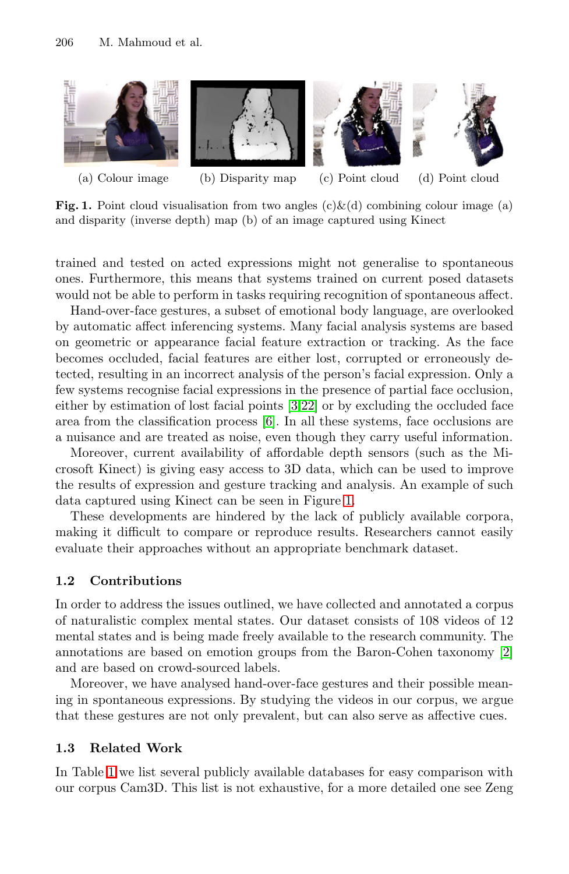<span id="page-1-0"></span>

**Fig. 1.** Point cloud visualisation from two angles  $(c)\&(d)$  combining colour image (a) and disparity (inverse depth) map (b) of an image captured using Kinect

trained and tested on acted expressions might not generalise to spontaneous ones. Furthermore, this means that systems trained on current posed datasets would not be able to perform in tasks requiring recognition of spontaneous affect.

Hand-over-face gestures, a subset of emotional body language, are overlooked by automatic affect inferencing systems. Many facial analysis systems are based on geometric or appearance facial feature extraction or tracking. As the face becomes occluded, facial features are either lost, corrupted or erroneously detected, resulting in an incorrect analysis of the person's facial expression. Only a few systems recognise facial expressions in the presence of partial face occlusion, either by estimation of lost facial points [\[3](#page-8-2)[,22\]](#page-9-5) or by excluding the occluded face area from the classification process [\[6\]](#page-9-6). In all these systems, face occlusions are a nuisance and are treated as noise, even though they carry useful information.

Moreover, current availability of affordable depth sensors (such as the Microsoft Kinect) is giving easy access to 3D data, which can be used to improve the results of expression and gesture tracking and analysis. An example of such data captured using Kinect can be seen in Figure [1.](#page-1-0)

These developments are hindered by the lack of publicly available corpora, making it difficult to compare or reproduce results. Researchers cannot easily evaluate their approaches without an appropriate benchmark dataset.

## **1.2 Contributions**

In order to address the issues outlined, we have collected and annotated a corpus of naturalistic complex mental states. Our dataset consists of 108 videos of 12 mental states and is being made freely available to the research community. The annotations are based on emotion groups from the Baron-Cohen taxonomy [\[2\]](#page-8-3) and are based on crowd-sourced labels.

Moreover, we have analysed hand-over-face gestures and their possible meaning in spontaneous expressions. By studying the videos in our corpus, we argue that these gestures are not only prevalent, but can also serve as affective cues.

### **1.3 Related Work**

In Table [1](#page-2-0) we list several publicly available databases for easy comparison with our corpus Cam3D. This list is not exhaustive, for a more detailed one see Zeng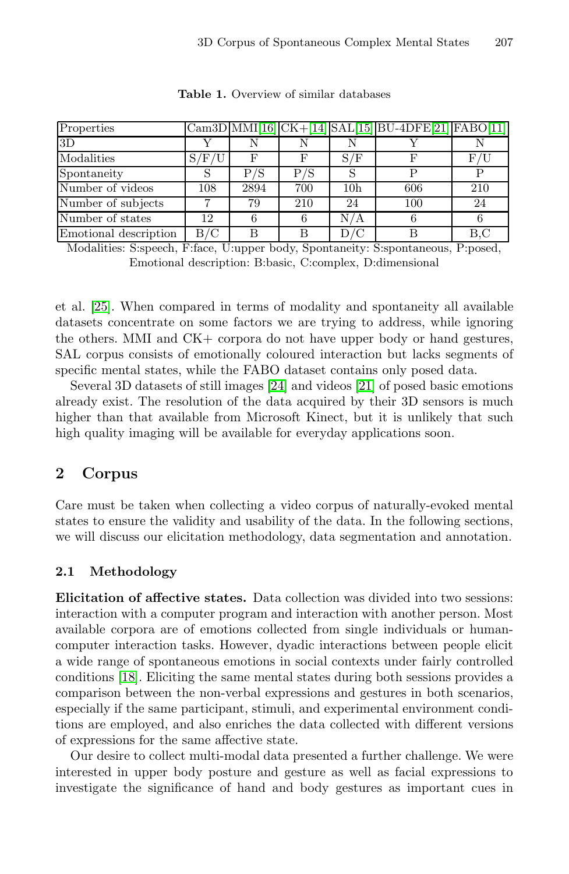<span id="page-2-0"></span>

| Properties            |       |            |     |                 | Cam3D MMI[16] CK+[14] SAL[15] BU-4DFE[21] FABO[11] |     |
|-----------------------|-------|------------|-----|-----------------|----------------------------------------------------|-----|
| 3D                    |       |            |     |                 |                                                    |     |
| Modalities            | S/F/U | $_{\rm F}$ | F   | S/F             |                                                    | F/I |
| Spontaneity           |       | P/S        | P/S |                 |                                                    |     |
| Number of videos      | 108   | 2894       | 700 | 10 <sub>h</sub> | 606                                                | 210 |
| Number of subjects    |       | 79         | 210 | 24              | 100                                                | 24  |
| Number of states      | 12    |            |     | N/A             |                                                    |     |
| Emotional description | B/C   |            |     | D/C             |                                                    | B.C |

**Table 1.** Overview of similar databases

Modalities: S:speech, F:face, U:upper body, Spontaneity: S:spontaneous, P:posed, Emotional description: B:basic, C:complex, D:dimensional

et al. [\[25\]](#page-9-12). When compared in terms of modality and spontaneity all available datasets concentrate on some factors we are trying to address, while ignoring the others. MMI and CK+ corpora do not have upper body or hand gestures, SAL corpus consists of emotionally coloured interaction but lacks segments of specific mental states, while the FABO dataset contains only posed data.

Several 3D datasets of still images [\[24\]](#page-9-13) and videos [\[21\]](#page-9-10) of posed basic emotions already exist. The resolution of the data acquired by their 3D sensors is much higher than that available from Microsoft Kinect, but it is unlikely that such high quality imaging will be available for everyday applications soon.

# **2 Corpus**

Care must be taken when collecting a video corpus of naturally-evoked mental states to ensure the validity and usability of the data. In the following sections, we will discuss our elicitation methodology, data segmentation and annotation.

## **2.1 Methodology**

**Elicitation of affective states.** Data collection was divided into two sessions: interaction with a computer program and interaction with another person. Most available corpora are of emotions collected from single individuals or humancomputer interaction tasks. However, dyadic interactions between people elicit a wide range of spontaneous emotions in social contexts under fairly controlled conditions [\[18\]](#page-9-14). Eliciting the same mental states during both sessions provides a comparison between the non-verbal expressions and gestures in both scenarios, especially if the same participant, stimuli, and experimental environment conditions are employed, and also enriches the data collected with different versions of expressions for the same affective state.

Our desire to collect multi-modal data presented a further challenge. We were interested in upper body posture and gesture as well as facial expressions to investigate the significance of hand and body gestures as important cues in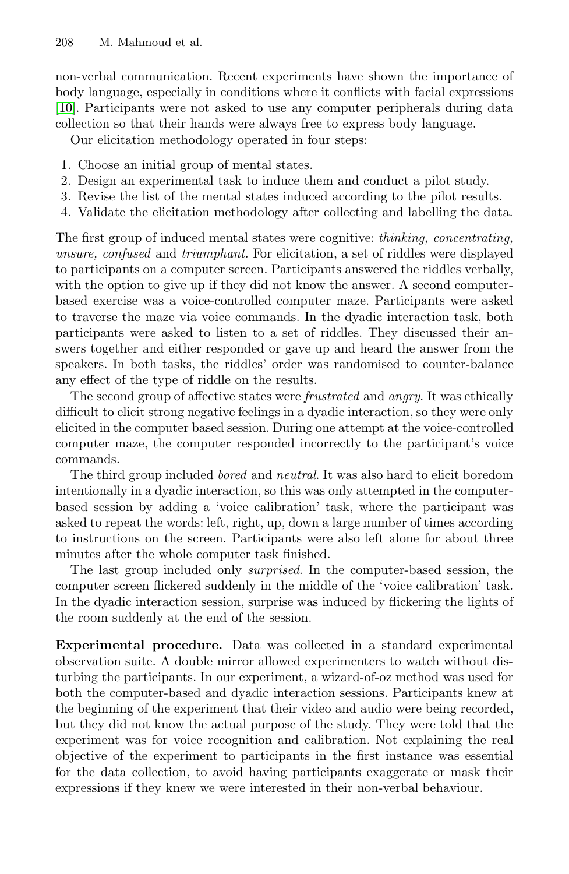non-verbal communication. Recent experiments have shown the importance of body language, especially in conditions where it conflicts with facial expressions [\[10\]](#page-9-15). Participants were not asked to use any computer peripherals during data collection so that their hands were always free to express body language.

Our elicitation methodology operated in four steps:

- 1. Choose an initial group of mental states.
- 2. Design an experimental task to induce them and conduct a pilot study.
- 3. Revise the list of the mental states induced according to the pilot results.
- 4. Validate the elicitation methodology after collecting and labelling the data.

The first group of induced mental states were cognitive: *thinking, concentrating, unsure, confused* and *triumphant*. For elicitation, a set of riddles were displayed to participants on a computer screen. Participants answered the riddles verbally, with the option to give up if they did not know the answer. A second computerbased exercise was a voice-controlled computer maze. Participants were asked to traverse the maze via voice commands. In the dyadic interaction task, both participants were asked to listen to a set of riddles. They discussed their answers together and either responded or gave up and heard the answer from the speakers. In both tasks, the riddles' order was randomised to counter-balance any effect of the type of riddle on the results.

The second group of affective states were *frustrated* and *angry*. It was ethically difficult to elicit strong negative feelings in a dyadic interaction, so they were only elicited in the computer based session. During one attempt at the voice-controlled computer maze, the computer responded incorrectly to the participant's voice commands.

The third group included *bored* and *neutral*. It was also hard to elicit boredom intentionally in a dyadic interaction, so this was only attempted in the computerbased session by adding a 'voice calibration' task, where the participant was asked to repeat the words: left, right, up, down a large number of times according to instructions on the screen. Participants were also left alone for about three minutes after the whole computer task finished.

The last group included only *surprised*. In the computer-based session, the computer screen flickered suddenly in the middle of the 'voice calibration' task. In the dyadic interaction session, surprise was induced by flickering the lights of the room suddenly at the end of the session.

**Experimental procedure.** Data was collected in a standard experimental observation suite. A double mirror allowed experimenters to watch without disturbing the participants. In our experiment, a wizard-of-oz method was used for both the computer-based and dyadic interaction sessions. Participants knew at the beginning of the experiment that their video and audio were being recorded, but they did not know the actual purpose of the study. They were told that the experiment was for voice recognition and calibration. Not explaining the real objective of the experiment to participants in the first instance was essential for the data collection, to avoid having participants exaggerate or mask their expressions if they knew we were interested in their non-verbal behaviour.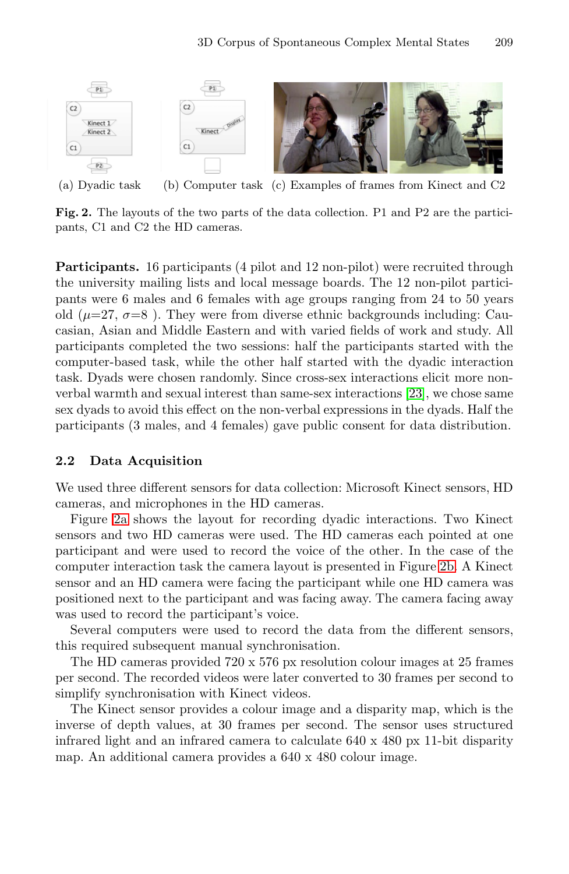

<span id="page-4-1"></span><span id="page-4-0"></span>(a) Dyadic task (b) Computer task (c) Examples of frames from Kinect and C2

**Fig. 2.** The layouts of the two parts of the data collection. P1 and P2 are the participants, C1 and C2 the HD cameras.

**Participants.** 16 participants (4 pilot and 12 non-pilot) were recruited through the university mailing lists and local message boards. The 12 non-pilot participants were 6 males and 6 females with age groups ranging from 24 to 50 years old ( $\mu$ =27,  $\sigma$ =8). They were from diverse ethnic backgrounds including: Caucasian, Asian and Middle Eastern and with varied fields of work and study. All participants completed the two sessions: half the participants started with the computer-based task, while the other half started with the dyadic interaction task. Dyads were chosen randomly. Since cross-sex interactions elicit more nonverbal warmth and sexual interest than same-sex interactions [\[23\]](#page-9-16), we chose same sex dyads to avoid this effect on the non-verbal expressions in the dyads. Half the participants (3 males, and 4 females) gave public consent for data distribution.

#### **2.2 Data Acquisition**

We used three different sensors for data collection: Microsoft Kinect sensors, HD cameras, and microphones in the HD cameras.

Figure [2a](#page-4-0) shows the layout for recording dyadic interactions. Two Kinect sensors and two HD cameras were used. The HD cameras each pointed at one participant and were used to record the voice of the other. In the case of the computer interaction task the camera layout is presented in Figure [2b.](#page-4-1) A Kinect sensor and an HD camera were facing the participant while one HD camera was positioned next to the participant and was facing away. The camera facing away was used to record the participant's voice.

Several computers were used to record the data from the different sensors, this required subsequent manual synchronisation.

The HD cameras provided 720 x 576 px resolution colour images at 25 frames per second. The recorded videos were later converted to 30 frames per second to simplify synchronisation with Kinect videos.

The Kinect sensor provides a colour image and a disparity map, which is the inverse of depth values, at 30 frames per second. The sensor uses structured infrared light and an infrared camera to calculate 640 x 480 px 11-bit disparity map. An additional camera provides a 640 x 480 colour image.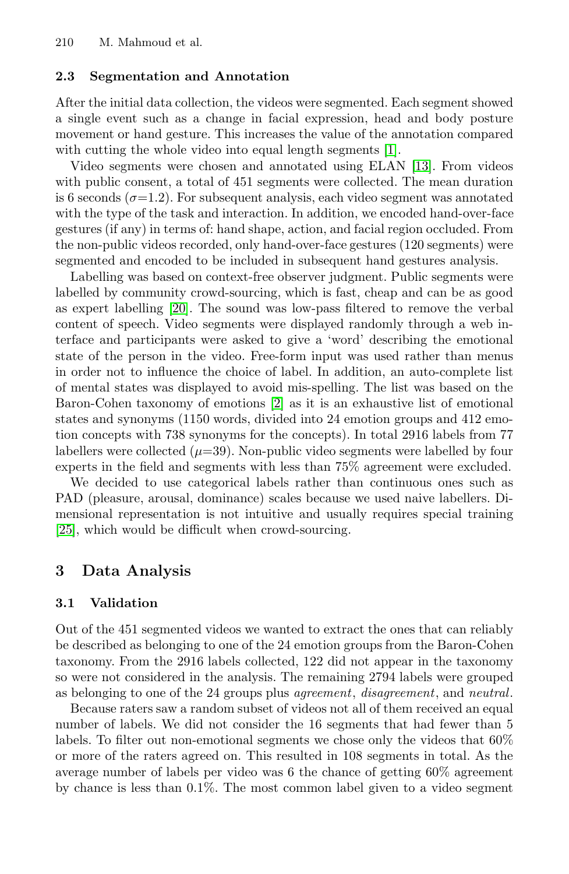### **2.3 Segmentation and Annotation**

After the initial data collection, the videos were segmented. Each segment showed a single event such as a change in facial expression, head and body posture movement or hand gesture. This increases the value of the annotation compared with cutting the whole video into equal length segments [\[1\]](#page-8-0).

Video segments were chosen and annotated using ELAN [\[13\]](#page-9-17). From videos with public consent, a total of 451 segments were collected. The mean duration is 6 seconds ( $\sigma$ =1.2). For subsequent analysis, each video segment was annotated with the type of the task and interaction. In addition, we encoded hand-over-face gestures (if any) in terms of: hand shape, action, and facial region occluded. From the non-public videos recorded, only hand-over-face gestures (120 segments) were segmented and encoded to be included in subsequent hand gestures analysis.

Labelling was based on context-free observer judgment. Public segments were labelled by community crowd-sourcing, which is fast, cheap and can be as good as expert labelling [\[20\]](#page-9-18). The sound was low-pass filtered to remove the verbal content of speech. Video segments were displayed randomly through a web interface and participants were asked to give a 'word' describing the emotional state of the person in the video. Free-form input was used rather than menus in order not to influence the choice of label. In addition, an auto-complete list of mental states was displayed to avoid mis-spelling. The list was based on the Baron-Cohen taxonomy of emotions [\[2\]](#page-8-3) as it is an exhaustive list of emotional states and synonyms (1150 words, divided into 24 emotion groups and 412 emotion concepts with 738 synonyms for the concepts). In total 2916 labels from 77 labellers were collected  $(\mu=39)$ . Non-public video segments were labelled by four experts in the field and segments with less than 75% agreement were excluded.

We decided to use categorical labels rather than continuous ones such as PAD (pleasure, arousal, dominance) scales because we used naive labellers. Dimensional representation is not intuitive and usually requires special training [\[25\]](#page-9-12), which would be difficult when crowd-sourcing.

## **3 Data Analysis**

### **3.1 Validation**

Out of the 451 segmented videos we wanted to extract the ones that can reliably be described as belonging to one of the 24 emotion groups from the Baron-Cohen taxonomy. From the 2916 labels collected, 122 did not appear in the taxonomy so were not considered in the analysis. The remaining 2794 labels were grouped as belonging to one of the 24 groups plus *agreement*, *disagreement*, and *neutral*.

Because raters saw a random subset of videos not all of them received an equal number of labels. We did not consider the 16 segments that had fewer than 5 labels. To filter out non-emotional segments we chose only the videos that 60% or more of the raters agreed on. This resulted in 108 segments in total. As the average number of labels per video was 6 the chance of getting 60% agreement by chance is less than 0.1%. The most common label given to a video segment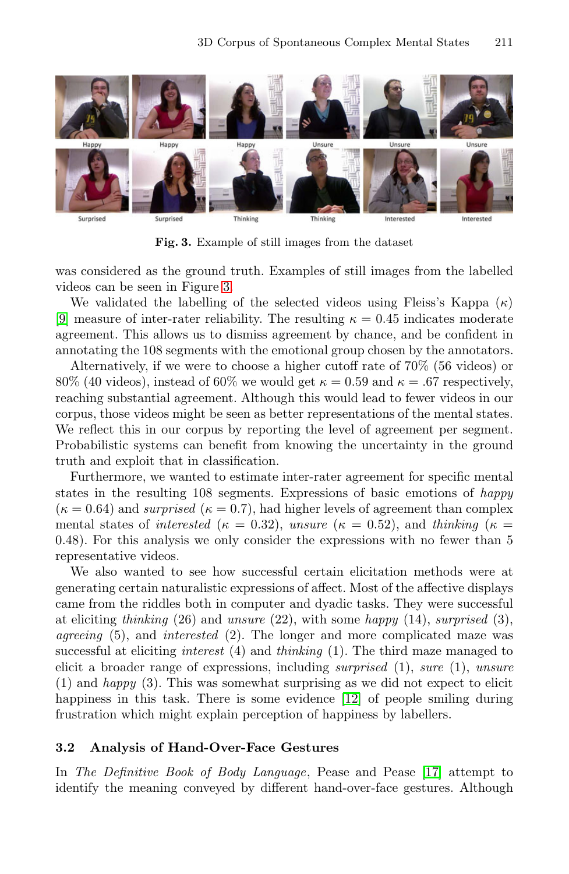<span id="page-6-0"></span>

**Fig. 3.** Example of still images from the dataset

was considered as the ground truth. Examples of still images from the labelled videos can be seen in Figure [3.](#page-6-0)

We validated the labelling of the selected videos using Fleiss's Kappa  $(\kappa)$ [\[9\]](#page-9-19) measure of inter-rater reliability. The resulting  $\kappa = 0.45$  indicates moderate agreement. This allows us to dismiss agreement by chance, and be confident in annotating the 108 segments with the emotional group chosen by the annotators.

Alternatively, if we were to choose a higher cutoff rate of 70% (56 videos) or 80% (40 videos), instead of 60% we would get  $\kappa = 0.59$  and  $\kappa = .67$  respectively, reaching substantial agreement. Although this would lead to fewer videos in our corpus, those videos might be seen as better representations of the mental states. We reflect this in our corpus by reporting the level of agreement per segment. Probabilistic systems can benefit from knowing the uncertainty in the ground truth and exploit that in classification.

Furthermore, we wanted to estimate inter-rater agreement for specific mental states in the resulting 108 segments. Expressions of basic emotions of *happy*  $(\kappa = 0.64)$  and *surprised*  $(\kappa = 0.7)$ , had higher levels of agreement than complex mental states of *interested* ( $\kappa = 0.32$ ), *unsure* ( $\kappa = 0.52$ ), and *thinking* ( $\kappa =$ 0.48). For this analysis we only consider the expressions with no fewer than 5 representative videos.

We also wanted to see how successful certain elicitation methods were at generating certain naturalistic expressions of affect. Most of the affective displays came from the riddles both in computer and dyadic tasks. They were successful at eliciting *thinking* (26) and *unsure* (22), with some *happy* (14), *surprised* (3), *agreeing* (5), and *interested* (2). The longer and more complicated maze was successful at eliciting *interest* (4) and *thinking* (1). The third maze managed to elicit a broader range of expressions, including *surprised* (1), *sure* (1), *unsure* (1) and *happy* (3). This was somewhat surprising as we did not expect to elicit happiness in this task. There is some evidence [\[12\]](#page-9-20) of people smiling during frustration which might explain perception of happiness by labellers.

#### **3.2 Analysis of Hand-Over-Face Gestures**

In *The Definitive Book of Body Language*, Pease and Pease [\[17\]](#page-9-21) attempt to identify the meaning conveyed by different hand-over-face gestures. Although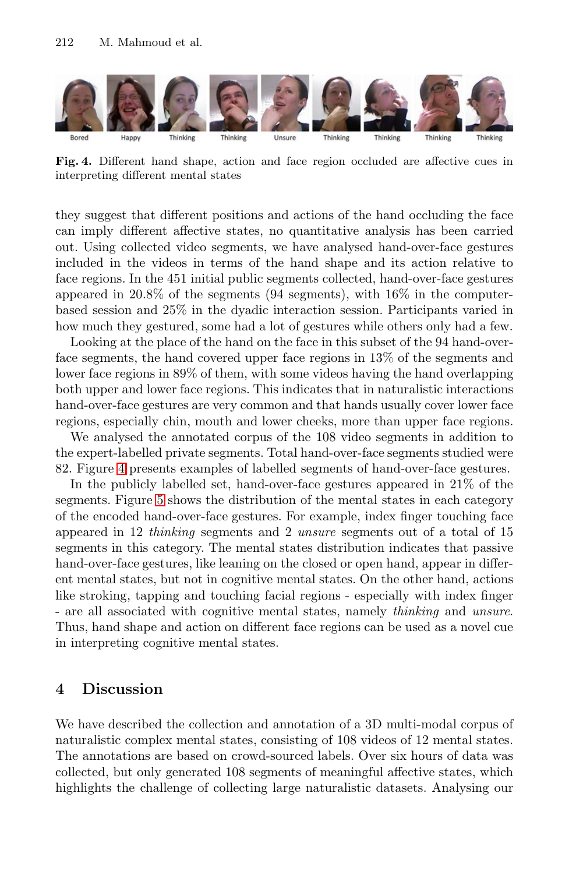<span id="page-7-0"></span>

**Fig. 4.** Different hand shape, action and face region occluded are affective cues in interpreting different mental states

they suggest that different positions and actions of the hand occluding the face can imply different affective states, no quantitative analysis has been carried out. Using collected video segments, we have analysed hand-over-face gestures included in the videos in terms of the hand shape and its action relative to face regions. In the 451 initial public segments collected, hand-over-face gestures appeared in 20.8% of the segments (94 segments), with 16% in the computerbased session and 25% in the dyadic interaction session. Participants varied in how much they gestured, some had a lot of gestures while others only had a few.

Looking at the place of the hand on the face in this subset of the 94 hand-overface segments, the hand covered upper face regions in 13% of the segments and lower face regions in 89% of them, with some videos having the hand overlapping both upper and lower face regions. This indicates that in naturalistic interactions hand-over-face gestures are very common and that hands usually cover lower face regions, especially chin, mouth and lower cheeks, more than upper face regions.

We analysed the annotated corpus of the 108 video segments in addition to the expert-labelled private segments. Total hand-over-face segments studied were 82. Figure [4](#page-7-0) presents examples of labelled segments of hand-over-face gestures.

In the publicly labelled set, hand-over-face gestures appeared in 21% of the segments. Figure [5](#page-8-4) shows the distribution of the mental states in each category of the encoded hand-over-face gestures. For example, index finger touching face appeared in 12 *thinking* segments and 2 *unsure* segments out of a total of 15 segments in this category. The mental states distribution indicates that passive hand-over-face gestures, like leaning on the closed or open hand, appear in different mental states, but not in cognitive mental states. On the other hand, actions like stroking, tapping and touching facial regions - especially with index finger - are all associated with cognitive mental states, namely *thinking* and *unsure*. Thus, hand shape and action on different face regions can be used as a novel cue in interpreting cognitive mental states.

## **4 Discussion**

We have described the collection and annotation of a 3D multi-modal corpus of naturalistic complex mental states, consisting of 108 videos of 12 mental states. The annotations are based on crowd-sourced labels. Over six hours of data was collected, but only generated 108 segments of meaningful affective states, which highlights the challenge of collecting large naturalistic datasets. Analysing our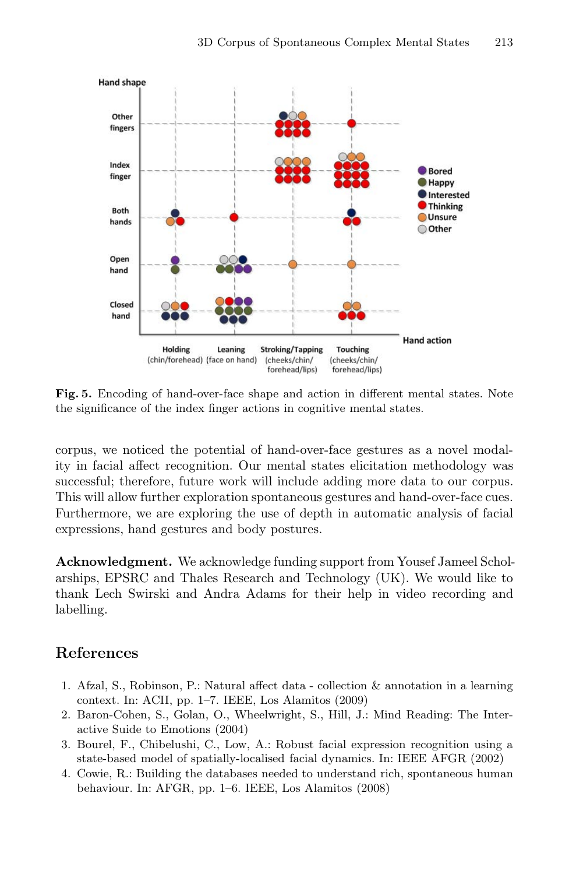<span id="page-8-4"></span>

**Fig. 5.** Encoding of hand-over-face shape and action in different mental states. Note the significance of the index finger actions in cognitive mental states.

corpus, we noticed the potential of hand-over-face gestures as a novel modality in facial affect recognition. Our mental states elicitation methodology was successful; therefore, future work will include adding more data to our corpus. This will allow further exploration spontaneous gestures and hand-over-face cues. Furthermore, we are exploring the use of depth in automatic analysis of facial expressions, hand gestures and body postures.

**Acknowledgment.** We acknowledge funding support from Yousef Jameel Scholarships, EPSRC and Thales Research and Technology (UK). We would like to thank Lech Swirski and Andra Adams for their help in video recording and labelling.

## **References**

- <span id="page-8-0"></span>1. Afzal, S., Robinson, P.: Natural affect data - collection & annotation in a learning context. In: ACII, pp. 1–7. IEEE, Los Alamitos (2009)
- <span id="page-8-3"></span>2. Baron-Cohen, S., Golan, O., Wheelwright, S., Hill, J.: Mind Reading: The Interactive Suide to Emotions (2004)
- <span id="page-8-2"></span>3. Bourel, F., Chibelushi, C., Low, A.: Robust facial expression recognition using a state-based model of spatially-localised facial dynamics. In: IEEE AFGR (2002)
- <span id="page-8-1"></span>4. Cowie, R.: Building the databases needed to understand rich, spontaneous human behaviour. In: AFGR, pp. 1–6. IEEE, Los Alamitos (2008)